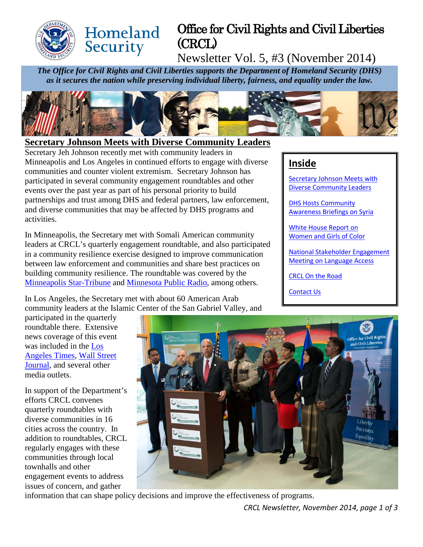

# Office for Civil Rights and Civil Liberties (CRCL)

Newsletter Vol. 5, #3 (November 2014)

*The Office for Civil Rights and Civil Liberties supports the Department of Homeland Security (DHS) as it secures the nation while preserving individual liberty, fairness, and equality under the law.*



#### <span id="page-0-0"></span>**Secretary Johnson Meets with Diverse Community Leaders**

**Homeland** 

Security

Secretary Jeh Johnson recently met with community leaders in Minneapolis and Los Angeles in continued efforts to engage with diverse communities and counter violent extremism. Secretary Johnson has participated in several community engagement roundtables and other events over the past year as part of his personal priority to build partnerships and trust among DHS and federal partners, law enforcement, and diverse communities that may be affected by DHS programs and activities.

In Minneapolis, the Secretary met with Somali American community leaders at CRCL's quarterly engagement roundtable, and also participated in a community resilience exercise designed to improve communication between law enforcement and communities and share best practices on building community resilience. The roundtable was covered by the [Minneapolis Star-Tribune](http://www.startribune.com/politics/statelocal/281996051.html) and [Minnesota Public Radio,](http://www.mprnews.org/story/2014/11/13/mn-fbi-terror-probe) among others.

In Los Angeles, the Secretary met with about 60 American Arab community leaders at the Islamic Center of the San Gabriel Valley, and

participated in the quarterly roundtable there. Extensive news coverage of this event was included in the [Los](http://www.latimes.com/local/california/la-me-1114-mosque-visit-20141114-story.html)  [Angeles Times,](http://www.latimes.com/local/california/la-me-1114-mosque-visit-20141114-story.html) [Wall Street](http://online.wsj.com/articles/u-s-engages-with-muslims-1415936525)  [Journal,](http://online.wsj.com/articles/u-s-engages-with-muslims-1415936525) and several other media outlets.

In support of the Department's efforts CRCL convenes quarterly roundtables with diverse communities in 16 cities across the country. In addition to roundtables, CRCL regularly engages with these communities through local townhalls and other engagement events to address issues of concern, and gather



information that can shape policy decisions and improve the effectiveness of programs.

# **Inside**

[Secretary Johnson Meets with](#page-0-0)  [Diverse Community Leaders](#page-0-0)

[DHS Hosts Community](#page-1-0)  [Awareness Briefings](#page-1-0) on Syria

[White House Report on](#page-1-1)  [Women and Girls of Color](#page-1-1)

[National Stakeholder Engagement](#page-1-2)  [Meeting on Language Access](#page-1-2)

[CRCL On the Road](#page-2-0)

[Contact Us](#page-2-1)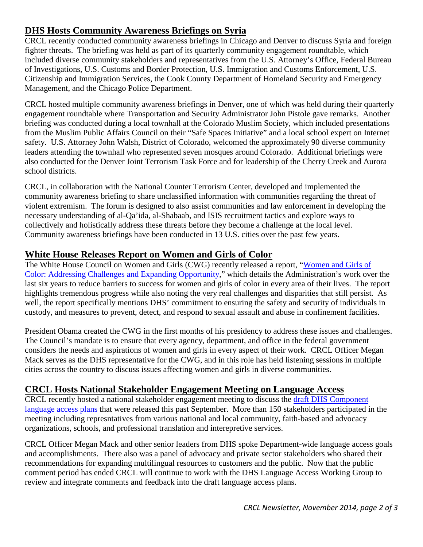# <span id="page-1-0"></span>**DHS Hosts Community Awareness Briefings on Syria**

CRCL recently conducted community awareness briefings in Chicago and Denver to discuss Syria and foreign fighter threats. The briefing was held as part of its quarterly community engagement roundtable, which included diverse community stakeholders and representatives from the U.S. Attorney's Office, Federal Bureau of Investigations, U.S. Customs and Border Protection, U.S. Immigration and Customs Enforcement, U.S. Citizenship and Immigration Services, the Cook County Department of Homeland Security and Emergency Management, and the Chicago Police Department.

CRCL hosted multiple community awareness briefings in Denver, one of which was held during their quarterly engagement roundtable where Transportation and Security Administrator John Pistole gave remarks. Another briefing was conducted during a local townhall at the Colorado Muslim Society, which included presentations from the Muslim Public Affairs Council on their "Safe Spaces Initiative" and a local school expert on Internet safety. U.S. Attorney John Walsh, District of Colorado, welcomed the approximately 90 diverse community leaders attending the townhall who represented seven mosques around Colorado. Additional briefings were also conducted for the Denver Joint Terrorism Task Force and for leadership of the Cherry Creek and Aurora school districts.

CRCL, in collaboration with the National Counter Terrorism Center, developed and implemented the community awareness briefing to share unclassified information with communities regarding the threat of violent extremism. The forum is designed to also assist communities and law enforcement in developing the necessary understanding of al-Qa'ida, al-Shabaab, and ISIS recruitment tactics and explore ways to collectively and holistically address these threats before they become a challenge at the local level. Community awareness briefings have been conducted in 13 U.S. cities over the past few years.

### <span id="page-1-1"></span>**White House Releases Report on Women and Girls of Color**

The White House Council on Women and Girls (CWG) recently released a report, ["Women and Girls of](http://www.whitehouse.gov/sites/default/files/docs/cwg_women_and_girls_of_color_report_112014.pdf)  [Color: Addressing Challenges and Expanding Opportunity,](http://www.whitehouse.gov/sites/default/files/docs/cwg_women_and_girls_of_color_report_112014.pdf)" which details the Administration's work over the last six years to reduce barriers to success for women and girls of color in every area of their lives. The report highlights tremendous progress while also noting the very real challenges and disparities that still persist. As well, the report specifically mentions DHS' commitment to ensuring the safety and security of individuals in custody, and measures to prevent, detect, and respond to sexual assault and abuse in confinement facilities.

President Obama created the CWG in the first months of his presidency to address these issues and challenges. The Council's mandate is to ensure that every agency, department, and office in the federal government considers the needs and aspirations of women and girls in every aspect of their work. CRCL Officer Megan Mack serves as the DHS representative for the CWG, and in this role has held listening sessions in multiple cities across the country to discuss issues affecting women and girls in diverse communities.

# <span id="page-1-2"></span>**CRCL Hosts National Stakeholder Engagement Meeting on Language Access**

CRCL recently hosted a national stakeholder engagement meeting to discuss the [draft DHS Component](http://www.dhs.gov/language-access)  [language access plans](http://www.dhs.gov/language-access) that were released this past September. More than 150 stakeholders participated in the meeting including represntatives from various national and local community, faith-based and advocacy organizations, schools, and professional translation and interepretive services.

CRCL Officer Megan Mack and other senior leaders from DHS spoke Department-wide language access goals and accomplishments. There also was a panel of advocacy and private sector stakeholders who shared their recommendations for expanding multilingual resources to customers and the public. Now that the public comment period has ended CRCL will continue to work with the DHS Language Access Working Group to review and integrate comments and feedback into the draft language access plans.